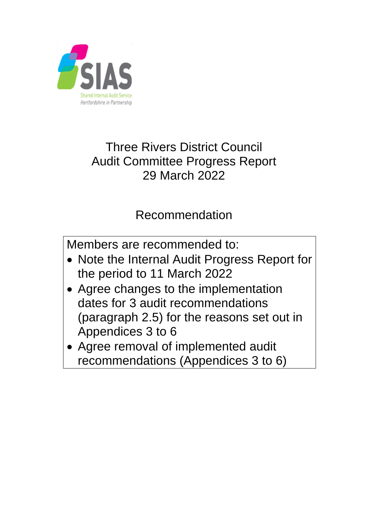

## Three Rivers District Council Audit Committee Progress Report 29 March 2022

## Recommendation

Members are recommended to:

- Note the Internal Audit Progress Report for the period to 11 March 2022
- Agree changes to the implementation dates for 3 audit recommendations (paragraph 2.5) for the reasons set out in Appendices 3 to 6
- Agree removal of implemented audit recommendations (Appendices 3 to 6)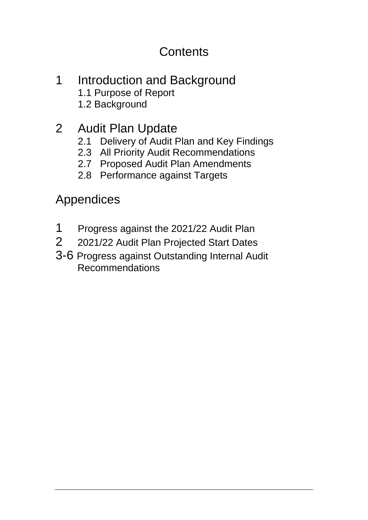## **Contents**

- 1 Introduction and Background 1.1 Purpose of Report 1.2 Background
- 2 Audit Plan Update
	- 2.1 Delivery of Audit Plan and Key Findings
	- 2.3 All Priority Audit Recommendations
	- 2.7 Proposed Audit Plan Amendments
	- 2.8 Performance against Targets

Appendices

- 1 Progress against the 2021/22 Audit Plan
- 2 2021/22 Audit Plan Projected Start Dates
- 3-6 Progress against Outstanding Internal Audit Recommendations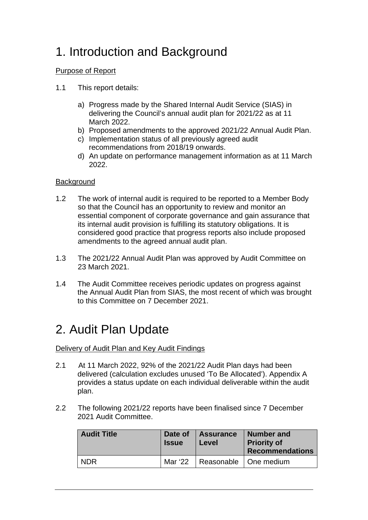# 1. Introduction and Background

### Purpose of Report

- 1.1 This report details:
	- a) Progress made by the Shared Internal Audit Service (SIAS) in delivering the Council's annual audit plan for 2021/22 as at 11 March 2022.
	- b) Proposed amendments to the approved 2021/22 Annual Audit Plan.
	- c) Implementation status of all previously agreed audit recommendations from 2018/19 onwards.
	- d) An update on performance management information as at 11 March 2022.

### **Background**

- 1.2 The work of internal audit is required to be reported to a Member Body so that the Council has an opportunity to review and monitor an essential component of corporate governance and gain assurance that its internal audit provision is fulfilling its statutory obligations. It is considered good practice that progress reports also include proposed amendments to the agreed annual audit plan.
- 1.3 The 2021/22 Annual Audit Plan was approved by Audit Committee on 23 March 2021.
- 1.4 The Audit Committee receives periodic updates on progress against the Annual Audit Plan from SIAS, the most recent of which was brought to this Committee on 7 December 2021.

## 2. Audit Plan Update

Delivery of Audit Plan and Key Audit Findings

- 2.1 At 11 March 2022, 92% of the 2021/22 Audit Plan days had been delivered (calculation excludes unused 'To Be Allocated'). Appendix A provides a status update on each individual deliverable within the audit plan.
- 2.2 The following 2021/22 reports have been finalised since 7 December 2021 Audit Committee.

| <b>Audit Title</b> | Date of<br><b>Issue</b> | Assurance<br>Level      | Number and<br><b>Priority of</b><br><b>Recommendations</b> |
|--------------------|-------------------------|-------------------------|------------------------------------------------------------|
| <b>NDR</b>         | Mar '22                 | Reasonable   One medium |                                                            |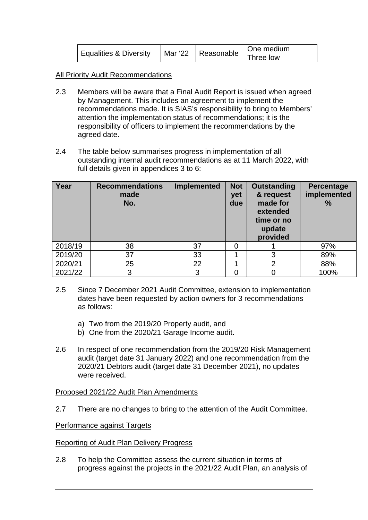| Equalities & Diversity |  | One medium |
|------------------------|--|------------|
|                        |  |            |

All Priority Audit Recommendations

- 2.3 Members will be aware that a Final Audit Report is issued when agreed by Management. This includes an agreement to implement the recommendations made. It is SIAS's responsibility to bring to Members' attention the implementation status of recommendations; it is the responsibility of officers to implement the recommendations by the agreed date.
- 2.4 The table below summarises progress in implementation of all outstanding internal audit recommendations as at 11 March 2022, with full details given in appendices 3 to 6:

| Year    | <b>Recommendations</b><br>made<br>No. | <b>Implemented</b> | <b>Not</b><br>yet<br>due | <b>Outstanding</b><br>& request<br>made for<br>extended<br>time or no<br>update<br>provided | <b>Percentage</b><br>implemented<br>$\frac{0}{0}$ |
|---------|---------------------------------------|--------------------|--------------------------|---------------------------------------------------------------------------------------------|---------------------------------------------------|
| 2018/19 | 38                                    | 37                 |                          |                                                                                             | 97%                                               |
| 2019/20 | 37                                    | 33                 |                          | 3                                                                                           | 89%                                               |
| 2020/21 | 25                                    | 22                 |                          | $\overline{2}$                                                                              | 88%                                               |
| 2021/22 | 3                                     | 3                  |                          |                                                                                             | 100%                                              |

- 2.5 Since 7 December 2021 Audit Committee, extension to implementation dates have been requested by action owners for 3 recommendations as follows:
	- a) Two from the 2019/20 Property audit, and
	- b) One from the 2020/21 Garage Income audit.
- 2.6 In respect of one recommendation from the 2019/20 Risk Management audit (target date 31 January 2022) and one recommendation from the 2020/21 Debtors audit (target date 31 December 2021), no updates were received.

#### Proposed 2021/22 Audit Plan Amendments

2.7 There are no changes to bring to the attention of the Audit Committee.

#### Performance against Targets

#### Reporting of Audit Plan Delivery Progress

2.8 To help the Committee assess the current situation in terms of progress against the projects in the 2021/22 Audit Plan, an analysis of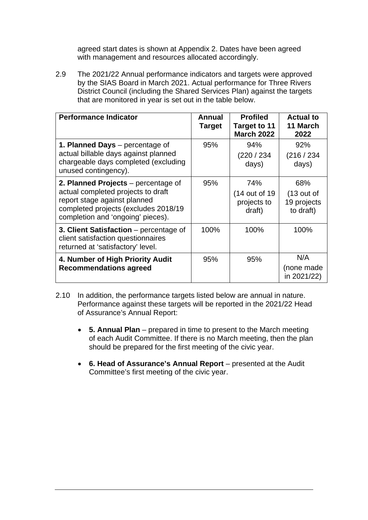agreed start dates is shown at Appendix 2. Dates have been agreed with management and resources allocated accordingly.

2.9 The 2021/22 Annual performance indicators and targets were approved by the SIAS Board in March 2021. Actual performance for Three Rivers District Council (including the Shared Services Plan) against the targets that are monitored in year is set out in the table below.

| <b>Performance Indicator</b>                                                                                                                                                           | Annual<br><b>Target</b> | <b>Profiled</b><br>Target to 11<br><b>March 2022</b> | <b>Actual to</b><br>11 March<br>2022            |
|----------------------------------------------------------------------------------------------------------------------------------------------------------------------------------------|-------------------------|------------------------------------------------------|-------------------------------------------------|
| 1. Planned Days – percentage of<br>actual billable days against planned<br>chargeable days completed (excluding<br>unused contingency).                                                | 95%                     | 94%<br>(220 / 234)<br>days)                          | 92%<br>(216/234)<br>days)                       |
| 2. Planned Projects - percentage of<br>actual completed projects to draft<br>report stage against planned<br>completed projects (excludes 2018/19<br>completion and 'ongoing' pieces). | 95%                     | 74%<br>(14 out of 19<br>projects to<br>draft)        | 68%<br>$(13$ out of<br>19 projects<br>to draft) |
| 3. Client Satisfaction – percentage of<br>client satisfaction questionnaires<br>returned at 'satisfactory' level.                                                                      | 100%                    | 100%                                                 | 100%                                            |
| 4. Number of High Priority Audit<br><b>Recommendations agreed</b>                                                                                                                      | 95%                     | 95%                                                  | N/A<br>(none made<br>in 2021/22)                |

- 2.10 In addition, the performance targets listed below are annual in nature. Performance against these targets will be reported in the 2021/22 Head of Assurance's Annual Report:
	- **5. Annual Plan** prepared in time to present to the March meeting of each Audit Committee. If there is no March meeting, then the plan should be prepared for the first meeting of the civic year.
	- **6. Head of Assurance's Annual Report**  presented at the Audit Committee's first meeting of the civic year.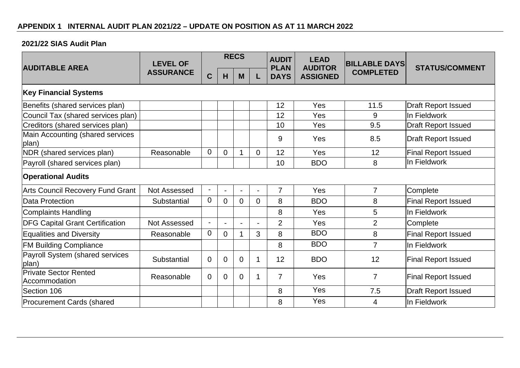### **2021/22 SIAS Audit Plan**

| <b>AUDITABLE AREA</b>                         | <b>LEVEL OF</b>  | <b>RECS</b>              |                |                |                          | <b>AUDIT</b><br><b>PLAN</b> | <b>LEAD</b><br><b>AUDITOR</b> | <b>BILLABLE DAYS</b> | <b>STATUS/COMMENT</b>      |
|-----------------------------------------------|------------------|--------------------------|----------------|----------------|--------------------------|-----------------------------|-------------------------------|----------------------|----------------------------|
|                                               | <b>ASSURANCE</b> | $\mathbf C$              | H              | M              | L                        | <b>DAYS</b>                 | <b>ASSIGNED</b>               | <b>COMPLETED</b>     |                            |
| <b>Key Financial Systems</b>                  |                  |                          |                |                |                          |                             |                               |                      |                            |
| Benefits (shared services plan)               |                  |                          |                |                |                          | 12                          | Yes                           | 11.5                 | <b>Draft Report Issued</b> |
| Council Tax (shared services plan)            |                  |                          |                |                |                          | 12                          | Yes                           | 9                    | In Fieldwork               |
| Creditors (shared services plan)              |                  |                          |                |                |                          | 10                          | Yes                           | 9.5                  | <b>Draft Report Issued</b> |
| Main Accounting (shared services<br>plan)     |                  |                          |                |                |                          | 9                           | Yes                           | 8.5                  | <b>Draft Report Issued</b> |
| NDR (shared services plan)                    | Reasonable       | $\overline{0}$           | $\overline{0}$ |                | $\mathbf 0$              | 12                          | Yes                           | 12                   | <b>Final Report Issued</b> |
| Payroll (shared services plan)                |                  |                          |                |                |                          | 10                          | <b>BDO</b>                    | 8                    | In Fieldwork               |
| <b>Operational Audits</b>                     |                  |                          |                |                |                          |                             |                               |                      |                            |
| Arts Council Recovery Fund Grant              | Not Assessed     | $\overline{\phantom{a}}$ | $\blacksquare$ |                | $\overline{\phantom{a}}$ | $\overline{7}$              | Yes                           | $\overline{7}$       | Complete                   |
| <b>Data Protection</b>                        | Substantial      | $\overline{0}$           | $\overline{0}$ | $\overline{0}$ | 0                        | 8                           | <b>BDO</b>                    | 8                    | <b>Final Report Issued</b> |
| <b>Complaints Handling</b>                    |                  |                          |                |                |                          | 8                           | Yes                           | 5                    | In Fieldwork               |
| <b>DFG Capital Grant Certification</b>        | Not Assessed     |                          | $\blacksquare$ |                | $\blacksquare$           | $\overline{2}$              | Yes                           | $\overline{2}$       | Complete                   |
| <b>Equalities and Diversity</b>               | Reasonable       | $\overline{0}$           | $\overline{0}$ |                | 3                        | 8                           | <b>BDO</b>                    | 8                    | <b>Final Report Issued</b> |
| <b>FM Building Compliance</b>                 |                  |                          |                |                |                          | 8                           | <b>BDO</b>                    | $\overline{7}$       | In Fieldwork               |
| Payroll System (shared services<br>plan)      | Substantial      | $\overline{0}$           | $\overline{0}$ | $\Omega$       |                          | 12                          | <b>BDO</b>                    | 12                   | <b>Final Report Issued</b> |
| <b>Private Sector Rented</b><br>Accommodation | Reasonable       | $\overline{0}$           | $\overline{0}$ | $\overline{0}$ |                          | $\overline{7}$              | Yes                           | $\overline{7}$       | <b>Final Report Issued</b> |
| Section 106                                   |                  |                          |                |                |                          | 8                           | Yes                           | 7.5                  | <b>Draft Report Issued</b> |
| <b>Procurement Cards (shared</b>              |                  |                          |                |                |                          | 8                           | Yes                           | 4                    | In Fieldwork               |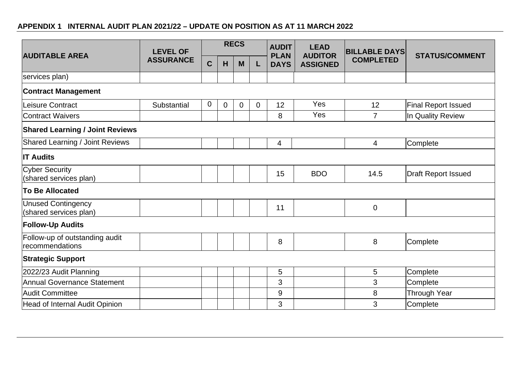## **APPENDIX 1 INTERNAL AUDIT PLAN 2021/22 – UPDATE ON POSITION AS AT 11 MARCH 2022**

| <b>AUDITABLE AREA</b>                               | <b>LEVEL OF</b>  | <b>RECS</b> |             | <b>AUDIT</b><br><b>PLAN</b> | <b>LEAD</b><br><b>AUDITOR</b> | <b>BILLABLE DAYS</b> | <b>STATUS/COMMENT</b> |                  |                            |
|-----------------------------------------------------|------------------|-------------|-------------|-----------------------------|-------------------------------|----------------------|-----------------------|------------------|----------------------------|
|                                                     | <b>ASSURANCE</b> | C           | H           | M                           | L                             | <b>DAYS</b>          | <b>ASSIGNED</b>       | <b>COMPLETED</b> |                            |
| services plan)                                      |                  |             |             |                             |                               |                      |                       |                  |                            |
| <b>Contract Management</b>                          |                  |             |             |                             |                               |                      |                       |                  |                            |
| Leisure Contract                                    | Substantial      | 0           | $\mathbf 0$ | $\mathbf 0$                 | $\mathbf 0$                   | 12                   | <b>Yes</b>            | 12               | <b>Final Report Issued</b> |
| Contract Waivers                                    |                  |             |             |                             |                               | 8                    | Yes                   | $\overline{7}$   | In Quality Review          |
| <b>Shared Learning / Joint Reviews</b>              |                  |             |             |                             |                               |                      |                       |                  |                            |
| <b>Shared Learning / Joint Reviews</b>              |                  |             |             |                             |                               | 4                    |                       | $\overline{4}$   | Complete                   |
| <b>IT Audits</b>                                    |                  |             |             |                             |                               |                      |                       |                  |                            |
| Cyber Security<br>(shared services plan)            |                  |             |             |                             |                               | 15                   | <b>BDO</b>            | 14.5             | <b>Draft Report Issued</b> |
| To Be Allocated                                     |                  |             |             |                             |                               |                      |                       |                  |                            |
| <b>Unused Contingency</b><br>(shared services plan) |                  |             |             |                             |                               | 11                   |                       | $\mathbf 0$      |                            |
| <b>Follow-Up Audits</b>                             |                  |             |             |                             |                               |                      |                       |                  |                            |
| Follow-up of outstanding audit<br>recommendations   |                  |             |             |                             |                               | 8                    |                       | 8                | Complete                   |
| <b>Strategic Support</b>                            |                  |             |             |                             |                               |                      |                       |                  |                            |
| 2022/23 Audit Planning                              |                  |             |             |                             |                               | 5                    |                       | 5                | Complete                   |
| Annual Governance Statement                         |                  |             |             |                             |                               | 3                    |                       | 3                | Complete                   |
| Audit Committee                                     |                  |             |             |                             |                               | 9                    |                       | 8                | Through Year               |
| Head of Internal Audit Opinion                      |                  |             |             |                             |                               | 3                    |                       | 3                | Complete                   |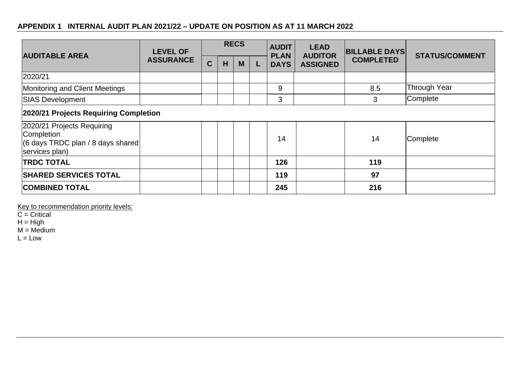## **APPENDIX 1 INTERNAL AUDIT PLAN 2021/22 – UPDATE ON POSITION AS AT 11 MARCH 2022**

| <b>AUDITABLE AREA</b>                                                                                     | <b>LEVEL OF</b>  | <b>RECS</b> |   |   |  | <b>AUDIT</b><br><b>PLAN</b> | <b>LEAD</b><br><b>AUDITOR</b> | <b>BILLABLE DAYS</b> | <b>STATUS/COMMENT</b> |
|-----------------------------------------------------------------------------------------------------------|------------------|-------------|---|---|--|-----------------------------|-------------------------------|----------------------|-----------------------|
|                                                                                                           | <b>ASSURANCE</b> | $\mathbf C$ | H | M |  | <b>DAYS</b>                 | <b>ASSIGNED</b>               | <b>COMPLETED</b>     |                       |
| 2020/21                                                                                                   |                  |             |   |   |  |                             |                               |                      |                       |
| Monitoring and Client Meetings                                                                            |                  |             |   |   |  | 9                           |                               | 8.5                  | <b>Through Year</b>   |
| <b>SIAS Development</b>                                                                                   |                  |             |   |   |  | 3                           |                               | 3                    | Complete              |
| 2020/21 Projects Requiring Completion                                                                     |                  |             |   |   |  |                             |                               |                      |                       |
| 2020/21 Projects Requiring<br>Completion<br>$(6 \text{ days}$ TRDC plan / 8 days shared<br>services plan) |                  |             |   |   |  | 14                          |                               | 14                   | Complete              |
| <b>TRDC TOTAL</b>                                                                                         |                  |             |   |   |  | 126                         |                               | 119                  |                       |
| <b>SHARED SERVICES TOTAL</b>                                                                              |                  |             |   |   |  | 119                         |                               | 97                   |                       |
| <b>COMBINED TOTAL</b>                                                                                     |                  |             |   |   |  | 245                         |                               | 216                  |                       |

Key to recommendation priority levels:

 $C =$  Critical

 $H = High$ 

 $M = \text{Median}$ 

 $L = Low$